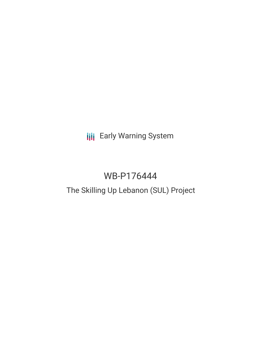# **III** Early Warning System

# WB-P176444

# The Skilling Up Lebanon (SUL) Project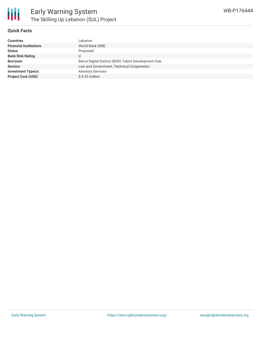

### **Quick Facts**

| <b>Countries</b>              | Lebanon                                              |
|-------------------------------|------------------------------------------------------|
| <b>Financial Institutions</b> | World Bank (WB)                                      |
| <b>Status</b>                 | Proposed                                             |
| <b>Bank Risk Rating</b>       |                                                      |
| <b>Borrower</b>               | Beirut Digital District (BDD) Talent Development Hub |
| <b>Sectors</b>                | Law and Government, Technical Cooperation            |
| <b>Investment Type(s)</b>     | <b>Advisory Services</b>                             |
| <b>Project Cost (USD)</b>     | $$0.35$ million                                      |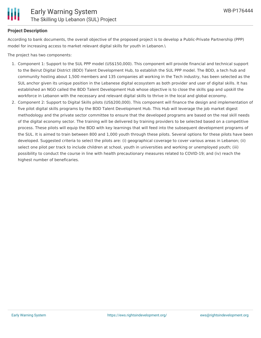

# **Project Description**

According to bank documents, the overall objective of the proposed project is to develop a Public-Private Partnership (PPP) model for increasing access to market relevant digital skills for youth in Lebanon.\

The project has two components:

- 1. Component 1: Support to the SUL PPP model (US\$150,000). This component will provide financial and technical support to the Beirut Digital District (BDD) Talent Development Hub, to establish the SUL PPP model. The BDD, a tech hub and community hosting about 1,500 members and 135 companies all working in the Tech industry, has been selected as the SUL anchor given its unique position in the Lebanese digital ecosystem as both provider and user of digital skills. It has established an NGO called the BDD Talent Development Hub whose objective is to close the skills gap and upskill the workforce in Lebanon with the necessary and relevant digital skills to thrive in the local and global economy.
- 2. Component 2: Support to Digital Skills pilots (US\$200,000). This component will finance the design and implementation of five pilot digital skills programs by the BDD Talent Development Hub. This Hub will leverage the job market digest methodology and the private sector committee to ensure that the developed programs are based on the real skill needs of the digital economy sector. The training will be delivered by training providers to be selected based on a competitive process. These pilots will equip the BDD with key learnings that will feed into the subsequent development programs of the SUL. It is aimed to train between 800 and 1,000 youth through these pilots. Several options for these pilots have been developed. Suggested criteria to select the pilots are: (i) geographical coverage to cover various areas in Lebanon; (ii) select one pilot per track to include children at school, youth in universities and working or unemployed youth; (iii) possibility to conduct the course in line with health precautionary measures related to COVID-19; and (iv) reach the highest number of beneficaries.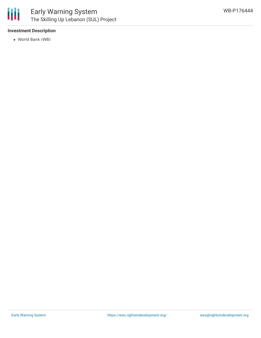

## **Investment Description**

World Bank (WB)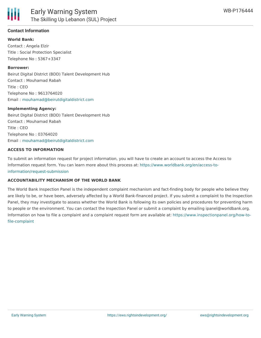

### **Contact Information**

**World Bank:** Contact : Angela Elzir Title : Social Protection Specialist Telephone No : 5367+3347

#### **Borrower:**

Beirut Digital District (BDD) Talent Development Hub Contact : Mouhamad Rabah Title : CEO Telephone No : 9613764020 Email : [mouhamad@beirutdigitaldistrict.com](mailto:mouhamad@beirutdigitaldistrict.com)

#### **Implementing Agency:**

Beirut Digital District (BDD) Talent Development Hub Contact : Mouhamad Rabah Title : CEO Telephone No : 03764020 Email : [mouhamad@beirutdigitaldistrict.com](mailto:mouhamad@beirutdigitaldistrict.com)

#### **ACCESS TO INFORMATION**

To submit an information request for project information, you will have to create an account to access the Access to Information request form. You can learn more about this process at: [https://www.worldbank.org/en/access-to](https://www.worldbank.org/en/access-to-information/request-submission)information/request-submission

#### **ACCOUNTABILITY MECHANISM OF THE WORLD BANK**

The World Bank Inspection Panel is the independent complaint mechanism and fact-finding body for people who believe they are likely to be, or have been, adversely affected by a World Bank-financed project. If you submit a complaint to the Inspection Panel, they may investigate to assess whether the World Bank is following its own policies and procedures for preventing harm to people or the environment. You can contact the Inspection Panel or submit a complaint by emailing ipanel@worldbank.org. Information on how to file a complaint and a complaint request form are available at: [https://www.inspectionpanel.org/how-to](https://www.inspectionpanel.org/how-to-file-complaint)file-complaint